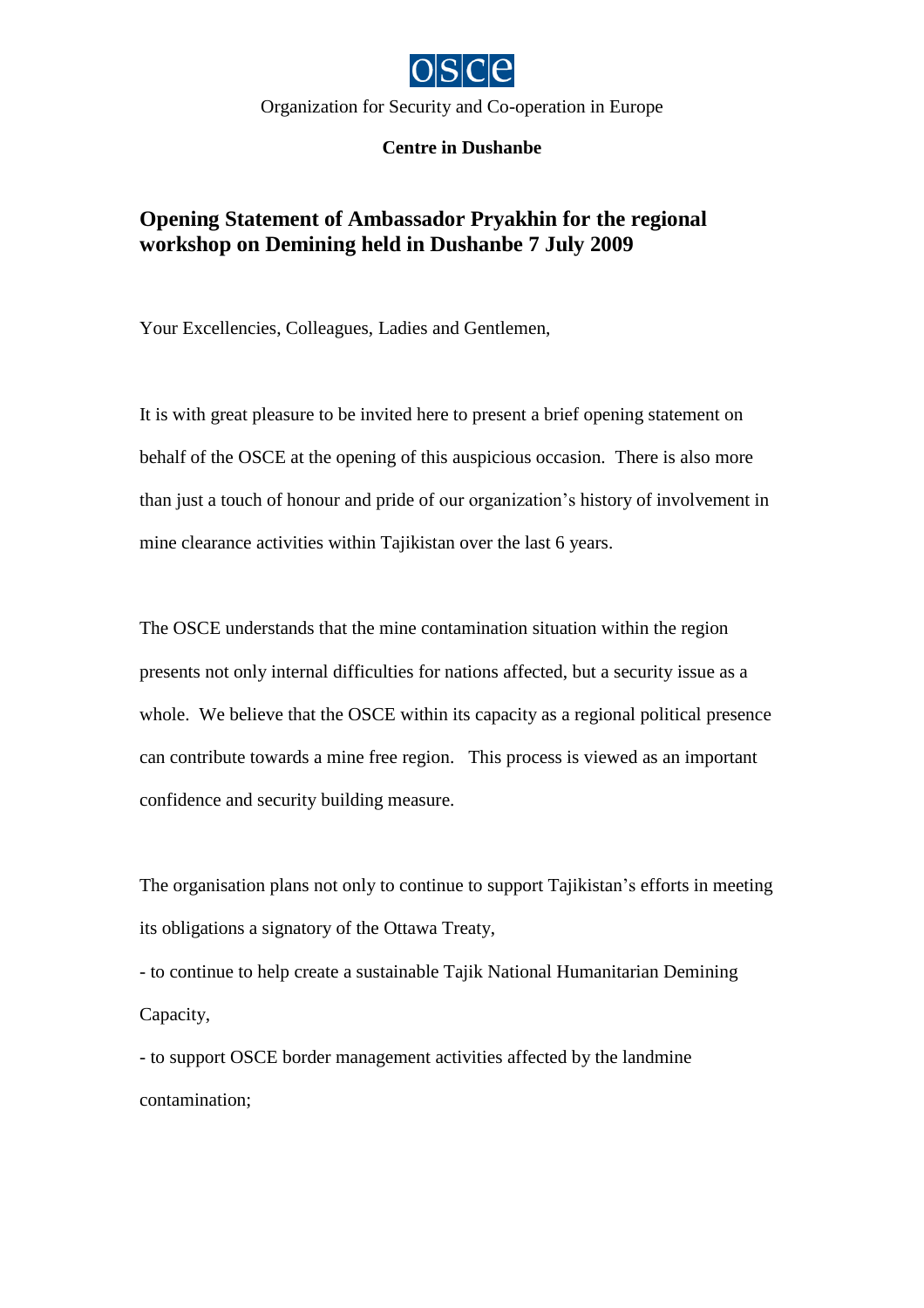

Organization for Security and Co-operation in Europe

**Centre in Dushanbe**

## **Opening Statement of Ambassador Pryakhin for the regional workshop on Demining held in Dushanbe 7 July 2009**

Your Excellencies, Colleagues, Ladies and Gentlemen,

It is with great pleasure to be invited here to present a brief opening statement on behalf of the OSCE at the opening of this auspicious occasion. There is also more than just a touch of honour and pride of our organization's history of involvement in mine clearance activities within Tajikistan over the last 6 years.

The OSCE understands that the mine contamination situation within the region presents not only internal difficulties for nations affected, but a security issue as a whole. We believe that the OSCE within its capacity as a regional political presence can contribute towards a mine free region. This process is viewed as an important confidence and security building measure.

The organisation plans not only to continue to support Tajikistan's efforts in meeting its obligations a signatory of the Ottawa Treaty,

- to continue to help create a sustainable Tajik National Humanitarian Demining Capacity,

- to support OSCE border management activities affected by the landmine contamination;